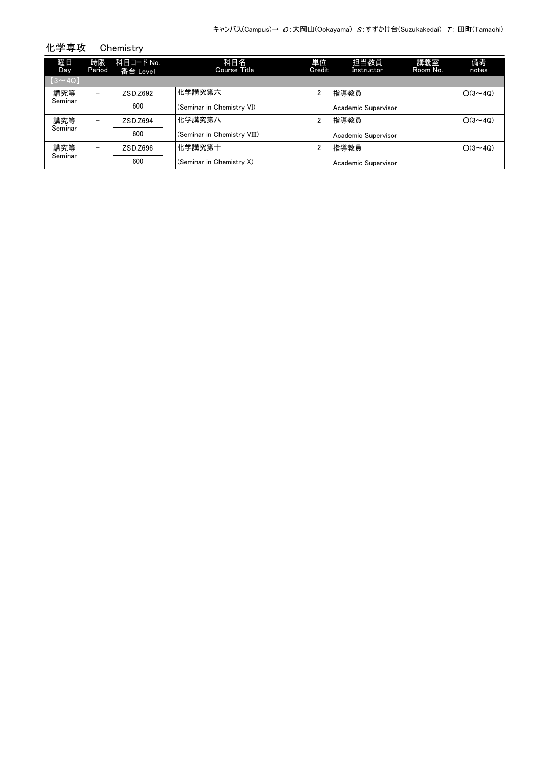| 化学専攻          |                          | Chemistry               |                             |              |                     |                 |                |
|---------------|--------------------------|-------------------------|-----------------------------|--------------|---------------------|-----------------|----------------|
| 曜日<br>Day     | 時限<br>Period             | 科目コード No.  <br>番台 Level | 科目名<br>Course Title         | 単位<br>Credit | 担当教員<br>Instructor  | 講義室<br>Room No. | 備考<br>notes    |
| $(3 \sim 4Q)$ |                          |                         |                             |              |                     |                 |                |
| 講究等           | $\overline{\phantom{0}}$ | ZSD.Z692                | 化学講究第六                      | 2            | 指導教員                |                 | $O(3 \sim 4Q)$ |
| Seminar       |                          | 600                     | (Seminar in Chemistry VI)   |              | Academic Supervisor |                 |                |
| 講究等           | $\overline{\phantom{0}}$ | ZSD.Z694                | 化学講究第八                      | 2            | 指導教員                |                 | $O(3 \sim 40)$ |
| Seminar       |                          | 600                     | (Seminar in Chemistry VIII) |              | Academic Supervisor |                 |                |
| 講究等           | $\overline{\phantom{0}}$ | ZSD.Z696                | 化学講究第十                      | 2            | 指導教員                |                 | $O(3 \sim 40)$ |
| Seminar       |                          | 600                     | (Seminar in Chemistry X)    |              | Academic Supervisor |                 |                |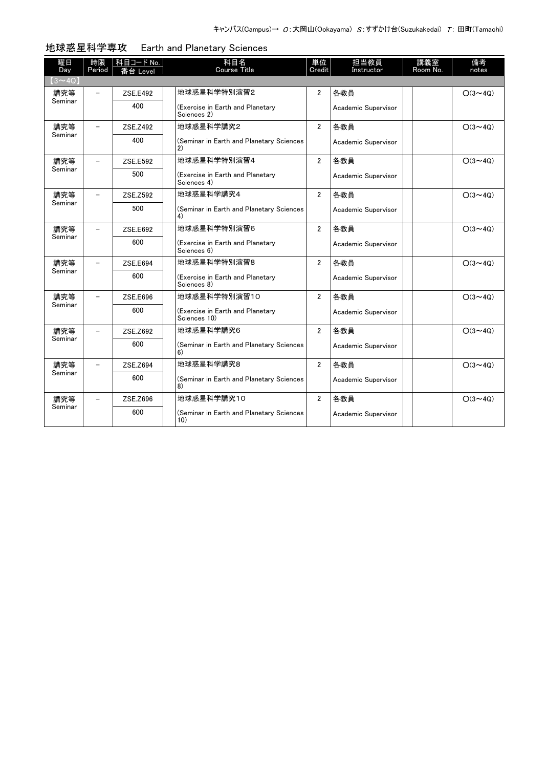| 曜日             | 時限     | <b>科目コード No.</b> | 科目名                                              | 単位             | 担当教員                | 講義室      | 備考             |
|----------------|--------|------------------|--------------------------------------------------|----------------|---------------------|----------|----------------|
| Day            | Period | 番台 Level         | <b>Course Title</b>                              | Credit         | Instructor          | Room No. | notes          |
| $(3 \sim 4Q)$  |        |                  |                                                  |                |                     |          |                |
| 講究等<br>Seminar |        | ZSE.E492         | 地球惑星科学特別演習2                                      | $\overline{2}$ | 各教員                 |          | $O(3 \sim 4Q)$ |
|                |        | 400              | (Exercise in Earth and Planetary<br>Sciences 2)  |                | Academic Supervisor |          |                |
| 講究等            |        | ZSE.Z492         | 地球惑星科学講究2                                        | $\overline{2}$ | 各教員                 |          | $O(3 \sim 4Q)$ |
| Seminar        |        | 400              | (Seminar in Earth and Planetary Sciences<br>2)   |                | Academic Supervisor |          |                |
| 講究等            |        | ZSE.E592         | 地球惑星科学特別演習4                                      | $\overline{2}$ | 各教員                 |          | $O(3 \sim 4Q)$ |
| Seminar        |        | 500              | (Exercise in Earth and Planetary<br>Sciences 4)  |                | Academic Supervisor |          |                |
| 講究等            |        | ZSE.Z592         | 地球惑星科学講究4                                        | $\overline{2}$ | 各教員                 |          | $O(3 \sim 4Q)$ |
| Seminar        |        | 500              | (Seminar in Earth and Planetary Sciences<br>4)   |                | Academic Supervisor |          |                |
| 講究等            |        | ZSE.E692         | 地球惑星科学特別演習6                                      | $\overline{2}$ | 各教員                 |          | $O(3 \sim 4Q)$ |
| Seminar        |        | 600              | (Exercise in Earth and Planetary<br>Sciences 6)  |                | Academic Supervisor |          |                |
| 講究等            |        | ZSE.E694         | 地球惑星科学特別演習8                                      | $\overline{2}$ | 各教員                 |          | $O(3 \sim 4Q)$ |
| Seminar        |        | 600              | (Exercise in Earth and Planetary<br>Sciences 8)  |                | Academic Supervisor |          |                |
| 講究等            |        | ZSE.E696         | 地球惑星科学特別演習10                                     | $\overline{2}$ | 各教員                 |          | $O(3 \sim 4Q)$ |
| Seminar        |        | 600              | (Exercise in Earth and Planetary<br>Sciences 10) |                | Academic Supervisor |          |                |
| 講究等            |        | ZSE.Z692         | 地球惑星科学講究6                                        | $\overline{2}$ | 各教員                 |          | $O(3 \sim 4Q)$ |
| Seminar        |        | 600              | (Seminar in Earth and Planetary Sciences<br>6)   |                | Academic Supervisor |          |                |
| 講究等            |        | ZSE.Z694         | 地球惑星科学講究8                                        | $\overline{2}$ | 各教員                 |          | $O(3 \sim 4Q)$ |
| Seminar        |        | 600              | (Seminar in Earth and Planetary Sciences<br>8)   |                | Academic Supervisor |          |                |
| 講究等            |        | ZSE.Z696         | 地球惑星科学講究10                                       | $\overline{2}$ | 各教員                 |          | $O(3 \sim 4Q)$ |
| Seminar        |        | 600              | (Seminar in Earth and Planetary Sciences<br>10)  |                | Academic Supervisor |          |                |

地球惑星科学専攻 Earth and Planetary Sciences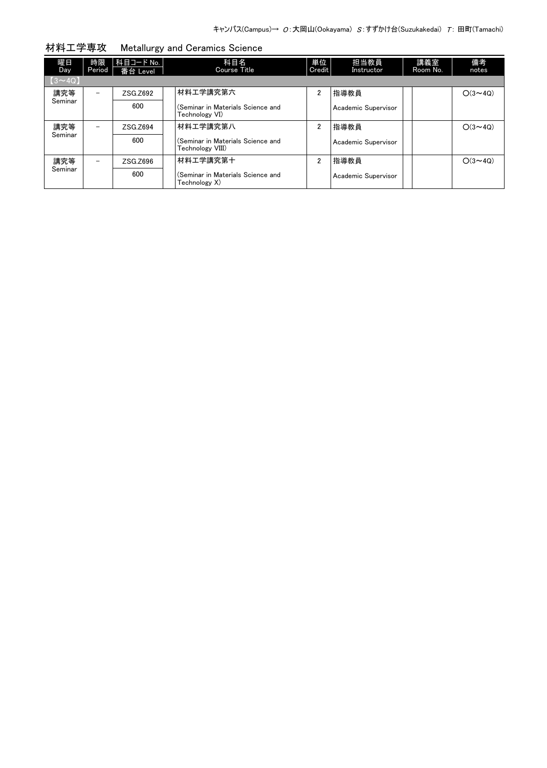| 曜日<br><b>Day</b> | 時限<br>Period | 科目コード No.<br>番台 Level | 科目名<br>Course Title                                   | 単位<br>Credit   | 担当教員<br>Instructor  | 講義室<br>Room No. | 備考<br>notes    |
|------------------|--------------|-----------------------|-------------------------------------------------------|----------------|---------------------|-----------------|----------------|
| $[3 \sim 4Q]$    |              |                       |                                                       |                |                     |                 |                |
| 講究等              |              | ZSG.Z692              | 材料工学講究第六                                              | 2              | 指導教員                |                 | $O(3 \sim 4Q)$ |
| Seminar          |              | 600                   | (Seminar in Materials Science and<br>Technology VI)   |                | Academic Supervisor |                 |                |
| 講究等              |              | ZSG.Z694              | 材料工学講究第八                                              | $\overline{2}$ | 指導教員                |                 | $O(3 \sim 40)$ |
| Seminar          |              | 600                   | (Seminar in Materials Science and<br>Technology VIII) |                | Academic Supervisor |                 |                |
| 講究等              | -            | ZSG.Z696              | 材料工学講究第十                                              | $\overline{2}$ | 指導教員                |                 | $O(3 \sim 40)$ |
| Seminar          |              | 600                   | (Seminar in Materials Science and<br>Technology X)    |                | Academic Supervisor |                 |                |

材料工学専攻 Metallurgy and Ceramics Science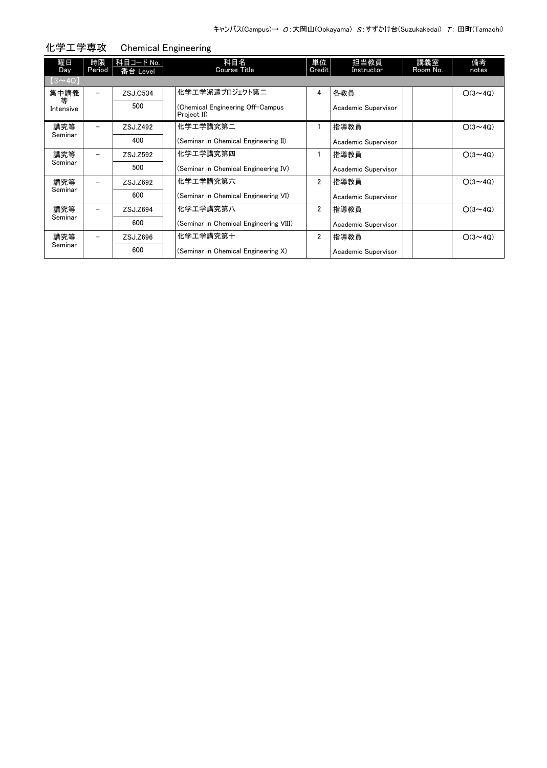| 曜日<br>Day     | 時限<br>Period             | 科目コード No.<br>番台 Level | 科目名<br><b>Course Title</b>                      | 単位<br>Credit   | 担当教員<br>Instructor  | 講義室<br>Room No. | 備考<br>notes    |
|---------------|--------------------------|-----------------------|-------------------------------------------------|----------------|---------------------|-----------------|----------------|
| $(3 \sim 4Q)$ |                          |                       |                                                 |                |                     |                 |                |
| 集中講義<br>等     | $\equiv$                 | ZSJ.C534              | 化学エ学派遣プロジェクト第二                                  | 4              | 各教員                 |                 | $O(3 \sim 4Q)$ |
| Intensive     |                          | 500                   | (Chemical Engineering Off-Campus<br>Project II) |                | Academic Supervisor |                 |                |
| 講究等           | -                        | ZSJ.Z492              | 化学工学講究第二                                        |                | 指導教員                |                 | $O(3 \sim 4Q)$ |
| Seminar       |                          | 400                   | (Seminar in Chemical Engineering II)            |                | Academic Supervisor |                 |                |
| 講究等           | -                        | ZSJ.Z592              | 化学工学講究第四                                        |                | 指導教員                |                 | $O(3 \sim 40)$ |
| Seminar       |                          | 500                   | (Seminar in Chemical Engineering IV)            |                | Academic Supervisor |                 |                |
| 講究等           | $\overline{\phantom{0}}$ | ZSJ.Z692              | 化学工学講究第六                                        | $\overline{2}$ | 指導教員                |                 | $O(3 \sim 4Q)$ |
| Seminar       |                          | 600                   | (Seminar in Chemical Engineering VI)            |                | Academic Supervisor |                 |                |
| 講究等           | $\overline{\phantom{0}}$ | ZSJ.Z694              | 化学工学講究第八                                        | $\overline{2}$ | 指導教員                |                 | $O(3 \sim 40)$ |
| Seminar       |                          | 600                   | (Seminar in Chemical Engineering VIII)          |                | Academic Supervisor |                 |                |
| 講究等           |                          | ZSJ.Z696              | 化学工学講究第十                                        | $\overline{2}$ | 指導教員                |                 | $O(3 \sim 4Q)$ |
| Seminar       |                          | 600                   | (Seminar in Chemical Engineering X)             |                | Academic Supervisor |                 |                |

化学工学専攻 Chemical Engineering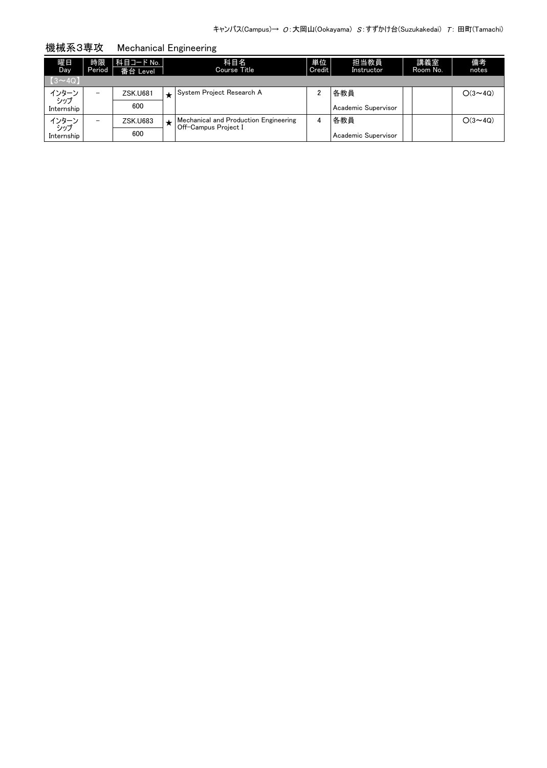| 曜日<br>Day.               | 時限<br>Period             | 科目コード No.  <br>番台 Level |         | 科目名<br>Course Title                   | 単位<br>Credit | 担当教員<br>Instructor  | 講義室<br>Room No. | 備考<br>notes    |
|--------------------------|--------------------------|-------------------------|---------|---------------------------------------|--------------|---------------------|-----------------|----------------|
| $\left[3 \sim 4Q\right]$ |                          |                         |         |                                       |              |                     |                 |                |
| インターン<br>- シップ           | $\overline{\phantom{0}}$ | <b>ZSK.U681</b>         |         | System Project Research A             |              | 各教員                 |                 | $O(3 \sim 4Q)$ |
| Internship               |                          | 600                     |         |                                       |              | Academic Supervisor |                 |                |
| インターン<br>- シップ           | $\overline{\phantom{0}}$ | <b>ZSK.U683</b>         | $\star$ | Mechanical and Production Engineering | 4            | 各教員                 |                 | $O(3 \sim 40)$ |
| Internship               |                          | 600                     |         | Off-Campus Project I                  |              | Academic Supervisor |                 |                |

機械系3専攻 Mechanical Engineering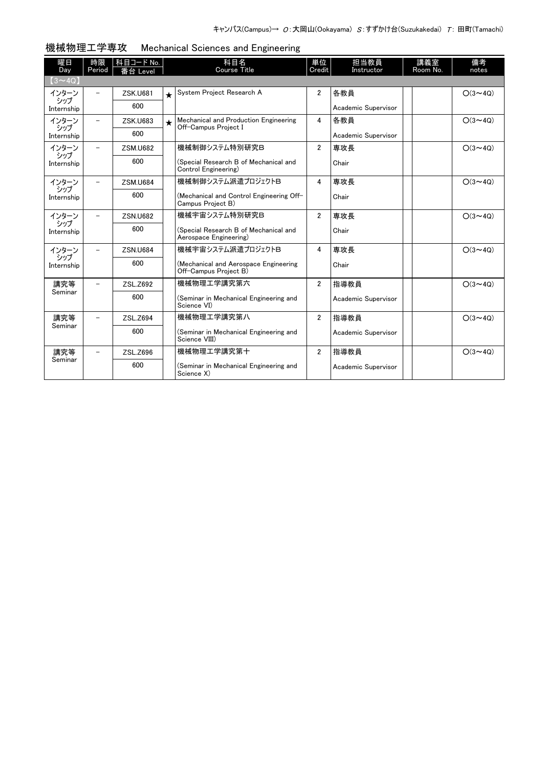| 曜日<br>Day         | 時限<br>Period             | 科目コード No.       |            | 科目名<br>Course Title                                             | 単位<br>Credit   | 担当教員<br>Instructor  | 講義室<br>Room No. | 備考<br>notes    |
|-------------------|--------------------------|-----------------|------------|-----------------------------------------------------------------|----------------|---------------------|-----------------|----------------|
| $(3\sim 4Q)$      |                          | 番台 Level        |            |                                                                 |                |                     |                 |                |
| インターン             | $\overline{\phantom{0}}$ | <b>ZSK.U681</b> | $\bigstar$ | System Project Research A                                       | $\overline{2}$ | 各教員                 |                 | $O(3 \sim 4Q)$ |
| シップ<br>Internship |                          | 600             |            |                                                                 |                | Academic Supervisor |                 |                |
| インターン             |                          | <b>ZSK.U683</b> | $\star$    | Mechanical and Production Engineering<br>Off-Campus Project I   | 4              | 各教員                 |                 | $O(3 \sim 4Q)$ |
| シップ<br>Internship |                          | 600             |            |                                                                 |                | Academic Supervisor |                 |                |
| インターン<br>シップ      |                          | <b>ZSM.U682</b> |            | 機械制御システム特別研究B                                                   | $\overline{2}$ | 専攻長                 |                 | $O(3 \sim 4Q)$ |
| Internship        |                          | 600             |            | (Special Research B of Mechanical and<br>Control Engineering)   |                | Chair               |                 |                |
| インターン<br>シップ      |                          | <b>ZSM.U684</b> |            | 機械制御システム派遣プロジェクトB                                               | $\overline{4}$ | 専攻長                 |                 | $O(3 \sim 40)$ |
| Internship        |                          | 600             |            | (Mechanical and Control Engineering Off-<br>Campus Project B)   |                | Chair               |                 |                |
| インターン<br>シップ      |                          | <b>ZSN.U682</b> |            | 機械宇宙システム特別研究B                                                   | $\overline{2}$ | 専攻長                 |                 | $O(3 \sim 4Q)$ |
| Internship        |                          | 600             |            | (Special Research B of Mechanical and<br>Aerospace Engineering) |                | Chair               |                 |                |
| インターン<br>シップ      |                          | <b>ZSN.U684</b> |            | 機械宇宙システム派遣プロジェクトB                                               | 4              | 専攻長                 |                 | $O(3 \sim 4Q)$ |
| Internship        |                          | 600             |            | (Mechanical and Aerospace Engineering<br>Off-Campus Project B)  |                | Chair               |                 |                |
| 講究等<br>Seminar    |                          | ZSL.Z692        |            | 機械物理工学講究第六                                                      | $\overline{2}$ | 指導教員                |                 | $O(3 \sim 4Q)$ |
|                   |                          | 600             |            | (Seminar in Mechanical Engineering and<br>Science VI)           |                | Academic Supervisor |                 |                |
| 講究等               |                          | ZSL.Z694        |            | 機械物理工学講究第八                                                      | $\overline{2}$ | 指導教員                |                 | $O(3 \sim 4Q)$ |
| Seminar           |                          | 600             |            | (Seminar in Mechanical Engineering and<br>Science VIII)         |                | Academic Supervisor |                 |                |
| 講究等<br>Seminar    |                          | ZSL.Z696        |            | 機械物理工学講究第十                                                      | $\overline{2}$ | 指導教員                |                 | $O(3 \sim 4Q)$ |
|                   |                          | 600             |            | (Seminar in Mechanical Engineering and<br>Science X)            |                | Academic Supervisor |                 |                |

## 機械物理工学専攻 Mechanical Sciences and Engineering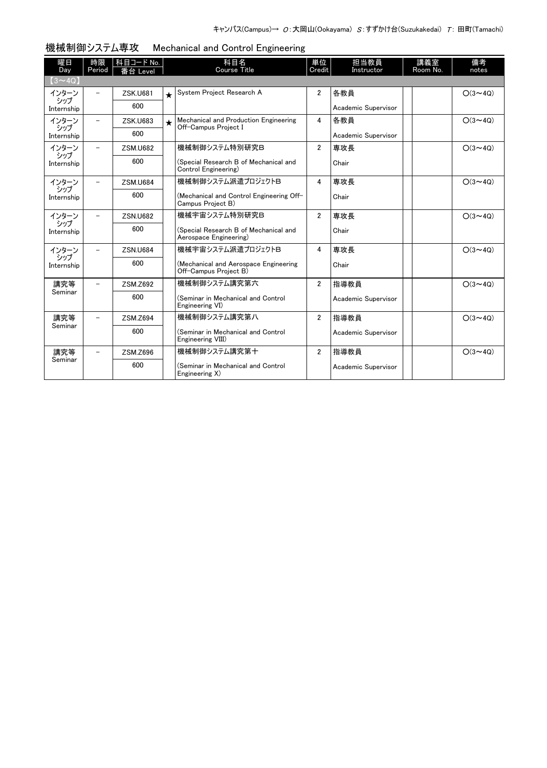| 曜日<br>Day         | 時限<br>Period             | 科目コード No.<br>番台 Level |            | 科目名<br><b>Course Title</b>                                      | 単位<br>Credit   | 担当教員<br>Instructor  | 講義室<br>Room No. | 備考<br>notes    |
|-------------------|--------------------------|-----------------------|------------|-----------------------------------------------------------------|----------------|---------------------|-----------------|----------------|
| $(3 \sim 4Q)$     |                          |                       |            |                                                                 |                |                     |                 |                |
| インターン             | $\overline{\phantom{0}}$ | <b>ZSK.U681</b>       | $\bigstar$ | System Project Research A                                       | $\overline{2}$ | 各教員                 |                 | $O(3 \sim 4Q)$ |
| シップ<br>Internship |                          | 600                   |            |                                                                 |                | Academic Supervisor |                 |                |
| インターン             | $\overline{\phantom{0}}$ | <b>ZSK.U683</b>       | $\star$    | Mechanical and Production Engineering<br>Off-Campus Project I   | 4              | 各教員                 |                 | $O(3 \sim 4Q)$ |
| シップ<br>Internship |                          | 600                   |            |                                                                 |                | Academic Supervisor |                 |                |
| インターン             | $\overline{\phantom{0}}$ | <b>ZSM.U682</b>       |            | 機械制御システム特別研究B                                                   | $\mathfrak{p}$ | 専攻長                 |                 | $O(3 \sim 4Q)$ |
| シップ<br>Internship |                          | 600                   |            | (Special Research B of Mechanical and<br>Control Engineering)   |                | Chair               |                 |                |
| インターン             | $\overline{\phantom{0}}$ | <b>ZSM.U684</b>       |            | 機械制御システム派遣プロジェクトB                                               | 4              | 専攻長                 |                 | $O(3 \sim 4Q)$ |
| シップ<br>Internship |                          | 600                   |            | (Mechanical and Control Engineering Off-<br>Campus Project B)   |                | Chair               |                 |                |
| インターン             | $\overline{\phantom{0}}$ | <b>ZSN.U682</b>       |            | 機械宇宙システム特別研究B                                                   | $\overline{2}$ | 専攻長                 |                 | $O(3 \sim 4Q)$ |
| シップ<br>Internship |                          | 600                   |            | (Special Research B of Mechanical and<br>Aerospace Engineering) |                | Chair               |                 |                |
| インターン<br>シップ      |                          | <b>ZSN.U684</b>       |            | 機械宇宙システム派遣プロジェクトB                                               | 4              | 専攻長                 |                 | $O(3 \sim 4Q)$ |
| Internship        |                          | 600                   |            | (Mechanical and Aerospace Engineering<br>Off-Campus Project B)  |                | Chair               |                 |                |
| 講究等               |                          | ZSM.Z692              |            | 機械制御システム講究第六                                                    | $\overline{2}$ | 指導教員                |                 | $O(3 \sim 4Q)$ |
| Seminar           |                          | 600                   |            | (Seminar in Mechanical and Control<br>Engineering VI)           |                | Academic Supervisor |                 |                |
| 講究等               |                          | ZSM.Z694              |            | 機械制御システム講究第八                                                    | $\overline{2}$ | 指導教員                |                 | $O(3 \sim 4Q)$ |
| Seminar           |                          | 600                   |            | (Seminar in Mechanical and Control<br>Engineering VIII)         |                | Academic Supervisor |                 |                |
| 講究等               |                          | ZSM.Z696              |            | 機械制御システム講究第十                                                    | $\overline{2}$ | 指導教員                |                 | $O(3 \sim 4Q)$ |
| Seminar           |                          | 600                   |            | (Seminar in Mechanical and Control<br>Engineering X)            |                | Academic Supervisor |                 |                |

## 機械制御システム専攻 Mechanical and Control Engineering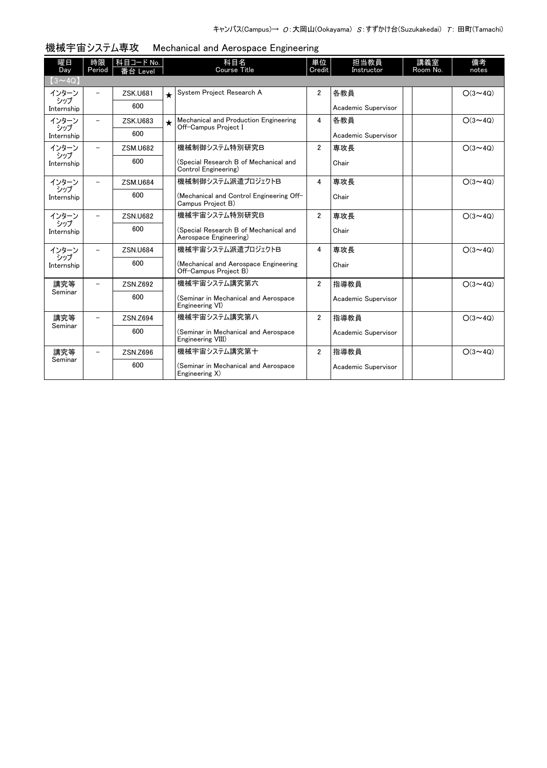| 曜日<br>Day         | 時限<br>Period | 科目コード No.<br>番台 Level |         | 科目名<br><b>Course Title</b>                                      | 単位<br>Credit   | 担当教員<br>Instructor  | 講義室<br>Room No. | 備考<br>notes    |
|-------------------|--------------|-----------------------|---------|-----------------------------------------------------------------|----------------|---------------------|-----------------|----------------|
| $(3 \sim 4Q)$     |              |                       |         |                                                                 |                |                     |                 |                |
| インターン             |              | <b>ZSK.U681</b>       | $\star$ | System Project Research A                                       | $\overline{2}$ | 各教員                 |                 | $O(3 \sim 4Q)$ |
| シップ<br>Internship |              | 600                   |         |                                                                 |                | Academic Supervisor |                 |                |
| インターン<br>シップ      |              | <b>ZSK.U683</b>       | $\star$ | Mechanical and Production Engineering<br>Off-Campus Project I   | 4              | 各教員                 |                 | $O(3 \sim 4Q)$ |
| Internship        |              | 600                   |         |                                                                 |                | Academic Supervisor |                 |                |
| インターン<br>シップ      |              | <b>ZSM.U682</b>       |         | 機械制御システム特別研究B                                                   | $\overline{2}$ | 専攻長                 |                 | $O(3 \sim 40)$ |
| Internship        |              | 600                   |         | (Special Research B of Mechanical and<br>Control Engineering)   |                | Chair               |                 |                |
| インターン<br>シップ      |              | <b>ZSM.U684</b>       |         | 機械制御システム派遣プロジェクトB                                               | $\overline{4}$ | 専攻長                 |                 | $O(3 \sim 4Q)$ |
| Internship        |              | 600                   |         | (Mechanical and Control Engineering Off-<br>Campus Project B)   |                | Chair               |                 |                |
| インターン             |              | <b>ZSN.U682</b>       |         | 機械宇宙システム特別研究B                                                   | $\overline{2}$ | 専攻長                 |                 | $O(3 \sim 4Q)$ |
| シップ<br>Internship |              | 600                   |         | (Special Research B of Mechanical and<br>Aerospace Engineering) |                | Chair               |                 |                |
| インターン             |              | <b>ZSN.U684</b>       |         | 機械宇宙システム派遣プロジェクトB                                               | 4              | 専攻長                 |                 | $O(3 \sim 4Q)$ |
| シップ<br>Internship |              | 600                   |         | (Mechanical and Aerospace Engineering<br>Off-Campus Project B)  |                | Chair               |                 |                |
| 講究等               |              | ZSN.Z692              |         | 機械宇宙システム講究第六                                                    | $\overline{2}$ | 指導教員                |                 | $O(3 \sim 4Q)$ |
| Seminar           |              | 600                   |         | (Seminar in Mechanical and Aerospace<br>Engineering VI)         |                | Academic Supervisor |                 |                |
| 講究等               |              | ZSN.Z694              |         | 機械宇宙システム講究第八                                                    | $\overline{2}$ | 指導教員                |                 | $O(3 \sim 4Q)$ |
| Seminar           |              | 600                   |         | (Seminar in Mechanical and Aerospace<br>Engineering VIII)       |                | Academic Supervisor |                 |                |
| 講究等               |              | ZSN.Z696              |         | 機械宇宙システム講究第十                                                    | $\overline{2}$ | 指導教員                |                 | $O(3 \sim 4Q)$ |
| Seminar           |              | 600                   |         | (Seminar in Mechanical and Aerospace<br>Engineering X)          |                | Academic Supervisor |                 |                |

## 機械宇宙システム専攻 Mechanical and Aerospace Engineering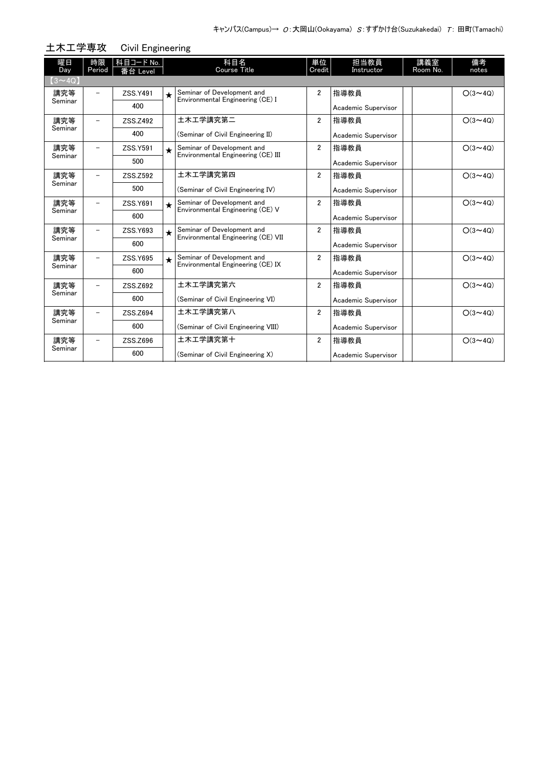| 土木工学専攻         |                          |                       | <b>Civil Engineering</b> |                                                                  |                |                     |                 |                |  |  |  |  |
|----------------|--------------------------|-----------------------|--------------------------|------------------------------------------------------------------|----------------|---------------------|-----------------|----------------|--|--|--|--|
| 曜日<br>Day      | 時限<br>Period             | 科目コード No.<br>番台 Level |                          | 科目名<br><b>Course Title</b>                                       | 単位<br>Credit   | 担当教員<br>Instructor  | 講義室<br>Room No. | 備考<br>notes    |  |  |  |  |
| $(3 \sim 4Q)$  |                          |                       |                          |                                                                  |                |                     |                 |                |  |  |  |  |
| 講究等<br>Seminar |                          | ZSS.Y491              | $\star$                  | Seminar of Development and<br>Environmental Engineering (CE) I   | $\overline{2}$ | 指導教員                |                 | $O(3 \sim 40)$ |  |  |  |  |
|                |                          | 400                   |                          |                                                                  |                | Academic Supervisor |                 |                |  |  |  |  |
| 講究等            | $\overline{\phantom{0}}$ | ZSS.Z492              |                          | 土木工学講究第二                                                         | $\overline{2}$ | 指導教員                |                 | $O(3 \sim 4Q)$ |  |  |  |  |
| Seminar        |                          | 400                   |                          | (Seminar of Civil Engineering II)                                |                | Academic Supervisor |                 |                |  |  |  |  |
| 講究等            |                          | ZSS.Y591              | $\star$                  | Seminar of Development and<br>Environmental Engineering (CE) III | $\overline{2}$ | 指導教員                |                 | $O(3 \sim 4Q)$ |  |  |  |  |
| Seminar        |                          | 500                   |                          |                                                                  |                | Academic Supervisor |                 |                |  |  |  |  |
| 講究等            |                          | ZSS.Z592              |                          | 土木工学講究第四                                                         | $\overline{2}$ | 指導教員                |                 | $O(3 \sim 40)$ |  |  |  |  |
| Seminar        |                          | 500                   |                          | (Seminar of Civil Engineering IV)                                |                | Academic Supervisor |                 |                |  |  |  |  |
| 講究等<br>Seminar |                          | ZSS.Y691              | $\star$                  | Seminar of Development and<br>Environmental Engineering (CE) V   | $\overline{2}$ | 指導教員                |                 | $O(3 \sim 40)$ |  |  |  |  |
|                |                          | 600                   |                          |                                                                  |                | Academic Supervisor |                 |                |  |  |  |  |
| 講究等            | -                        | ZSS.Y693              | $\star$                  | Seminar of Development and<br>Environmental Engineering (CE) VII | $\overline{2}$ | 指導教員                |                 | $O(3 \sim 4Q)$ |  |  |  |  |
| Seminar        |                          | 600                   |                          |                                                                  |                | Academic Supervisor |                 |                |  |  |  |  |
| 講究等<br>Seminar |                          | ZSS.Y695              | $\star$                  | Seminar of Development and<br>Environmental Engineering (CE) IX  | $\overline{2}$ | 指導教員                |                 | $O(3 \sim 4Q)$ |  |  |  |  |
|                |                          | 600                   |                          |                                                                  |                | Academic Supervisor |                 |                |  |  |  |  |
| 講究等            |                          | ZSS.Z692              |                          | 土木工学講究第六                                                         | $\overline{2}$ | 指導教員                |                 | $O(3 \sim 40)$ |  |  |  |  |
| Seminar        |                          | 600                   |                          | (Seminar of Civil Engineering VI)                                |                | Academic Supervisor |                 |                |  |  |  |  |
| 講究等            |                          | ZSS.Z694              |                          | 土木工学講究第八                                                         | $\overline{2}$ | 指導教員                |                 | $O(3 \sim 4Q)$ |  |  |  |  |
| Seminar        |                          | 600                   |                          | (Seminar of Civil Engineering VIII)                              |                | Academic Supervisor |                 |                |  |  |  |  |
| 講究等            |                          | ZSS.Z696              |                          | 土木工学講究第十                                                         | $\overline{2}$ | 指導教員                |                 | $O(3 \sim 4Q)$ |  |  |  |  |
| Seminar        |                          | 600                   |                          | (Seminar of Civil Engineering X)                                 |                | Academic Supervisor |                 |                |  |  |  |  |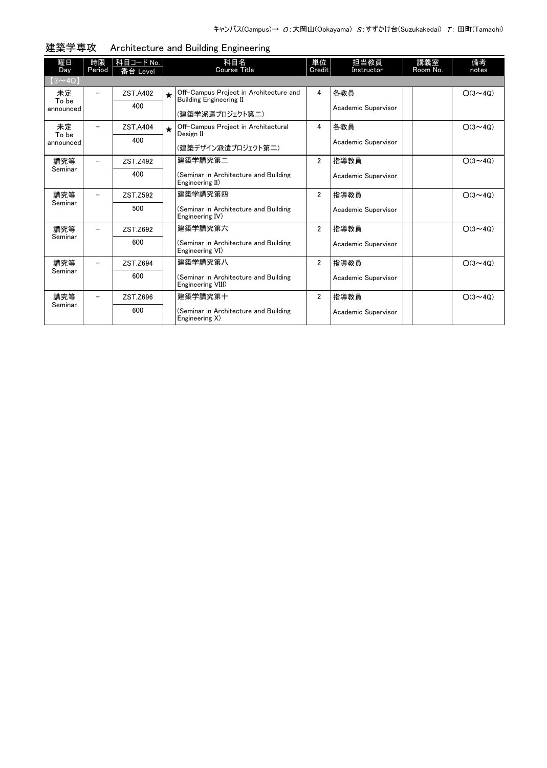| 曜日                       | 時限                       | 科目コード No.       |         | 科目名<br><b>Course Title</b>                                                                  | 単位             | 担当教員                       | 講義室      | 備考             |
|--------------------------|--------------------------|-----------------|---------|---------------------------------------------------------------------------------------------|----------------|----------------------------|----------|----------------|
| Day<br>$(3 \sim 4Q)$     | Period                   | 番台 Level        |         |                                                                                             | Credit         | Instructor                 | Room No. | notes          |
| 未定<br>To be<br>announced |                          | ZST.A402<br>400 | $\star$ | Off-Campus Project in Architecture and<br><b>Building Engineering II</b><br>(建築学派遣プロジェクト第二) | 4              | 各教員<br>Academic Supervisor |          | $O(3 \sim 4Q)$ |
| 未定                       | $\overline{\phantom{0}}$ | ZST.A404        | $\star$ | Off-Campus Project in Architectural                                                         | 4              | 各教員                        |          | $O(3 \sim 4Q)$ |
| To be<br>announced       |                          | 400             |         | Design II<br>(建築デザイン派遣プロジェクト第二)                                                             |                | Academic Supervisor        |          |                |
| 講究等                      |                          | ZST.Z492        |         | 建築学講究第二                                                                                     | $\overline{2}$ | 指導教員                       |          | $O(3 \sim 4Q)$ |
| Seminar                  |                          | 400             |         | (Seminar in Architecture and Building<br>Engineering II)                                    |                | Academic Supervisor        |          |                |
| 講究等                      | $\overline{\phantom{0}}$ | ZST.Z592        |         | 建築学講究第四                                                                                     | $\overline{2}$ | 指導教員                       |          | $O(3 \sim 40)$ |
| Seminar                  |                          | 500             |         | (Seminar in Architecture and Building<br>Engineering IV)                                    |                | Academic Supervisor        |          |                |
| 講究等                      | $\overline{\phantom{0}}$ | ZST.Z692        |         | 建築学講究第六                                                                                     | $\overline{2}$ | 指導教員                       |          | $O(3 \sim 40)$ |
| Seminar                  |                          | 600             |         | (Seminar in Architecture and Building<br>Engineering VI)                                    |                | Academic Supervisor        |          |                |
| 講究等                      |                          | ZST.Z694        |         | 建築学講究第八                                                                                     | $\overline{2}$ | 指導教員                       |          | $O(3 \sim 4Q)$ |
| Seminar                  |                          | 600             |         | (Seminar in Architecture and Building<br>Engineering VIII)                                  |                | Academic Supervisor        |          |                |
| 講究等                      | $\overline{\phantom{0}}$ | ZST.Z696        |         | 建築学講究第十                                                                                     | $\overline{2}$ | 指導教員                       |          | $O(3 \sim 4Q)$ |
| Seminar                  |                          | 600             |         | (Seminar in Architecture and Building<br>Engineering X)                                     |                | Academic Supervisor        |          |                |

建築学専攻 Architecture and Building Engineering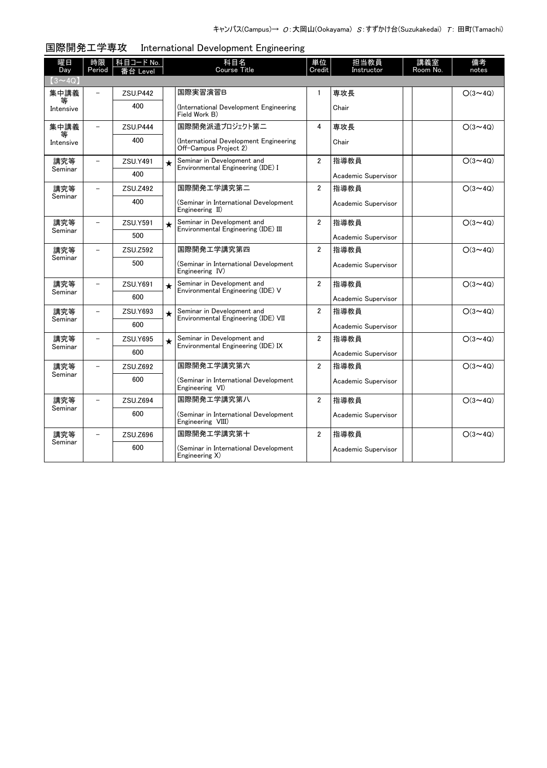| 曜日             | 時限                       | 科目コード No.       |         | 科目名                                                               | 単位                      | 担当教員                | 講義室      | 備考             |
|----------------|--------------------------|-----------------|---------|-------------------------------------------------------------------|-------------------------|---------------------|----------|----------------|
| Day            | Period                   | 台 Level         |         | <b>Course Title</b>                                               | Credit                  | Instructor          | Room No. | notes          |
| $(3 \sim 4Q)$  |                          |                 |         |                                                                   |                         |                     |          |                |
| 集中講義           |                          | <b>ZSU.P442</b> |         | 国際実習演習B                                                           | $\mathbf{1}$            | 専攻長                 |          | $O(3 \sim 4Q)$ |
| Intensive      |                          | 400             |         | International Development Engineering)<br>Field Work B)           |                         | Chair               |          |                |
| 集中講義           | $\equiv$                 | ZSU.P444        |         | 国際開発派遣プロジェクト第二                                                    | 4                       | 専攻長                 |          | $O(3 \sim 4Q)$ |
| 等<br>Intensive |                          | 400             |         | International Development Engineering)<br>Off-Campus Proiect 2)   |                         | Chair               |          |                |
| 講究等            | $\overline{\phantom{0}}$ | ZSU.Y491        | $\star$ | Seminar in Development and<br>Environmental Engineering (IDE) I   | $\overline{2}$          | 指導教員                |          | $O(3 \sim 4Q)$ |
| Seminar        |                          | 400             |         |                                                                   |                         | Academic Supervisor |          |                |
| 講究等            | $\overline{\phantom{0}}$ | ZSU.Z492        |         | 国際開発エ学講究第二                                                        | $\overline{2}$          | 指導教員                |          | $O(3 \sim 4Q)$ |
| Seminar        |                          | 400             |         | (Seminar in International Development<br>Engineering II)          |                         | Academic Supervisor |          |                |
| 講究等            |                          | ZSU.Y591        | $\star$ | Seminar in Development and<br>Environmental Engineering (IDE) III | $\overline{2}$          | 指導教員                |          | $O(3 \sim 4Q)$ |
| Seminar        |                          | 500             |         |                                                                   |                         | Academic Supervisor |          |                |
| 講究等            |                          | ZSU.Z592        |         | 国際開発工学講究第四                                                        | $\overline{2}$          | 指導教員                |          | $O(3 \sim 4Q)$ |
| Seminar        |                          | 500             |         | (Seminar in International Development<br>Engineering IV)          |                         | Academic Supervisor |          |                |
| 講究等            |                          | ZSU.Y691        | $\star$ | Seminar in Development and<br>Environmental Engineering (IDE) V   | $\overline{2}$          | 指導教員                |          | $O(3 \sim 4Q)$ |
| Seminar        |                          | 600             |         |                                                                   |                         | Academic Supervisor |          |                |
| 講究等            |                          | ZSU.Y693        | $\star$ | Seminar in Development and<br>Environmental Engineering (IDE) VII | $\overline{\mathbf{2}}$ | 指導教員                |          | $O(3 \sim 4Q)$ |
| Seminar        |                          | 600             |         |                                                                   |                         | Academic Supervisor |          |                |
| 講究等            | $\overline{\phantom{0}}$ | ZSU.Y695        | $\star$ | Seminar in Development and<br>Environmental Engineering (IDE) IX  | $\overline{2}$          | 指導教員                |          | $O(3 \sim 4Q)$ |
| Seminar        |                          | 600             |         |                                                                   |                         | Academic Supervisor |          |                |
| 講究等            | $\overline{\phantom{0}}$ | ZSU.Z692        |         | 国際開発工学講究第六                                                        | $\overline{2}$          | 指導教員                |          | $O(3 \sim 4Q)$ |
| Seminar        |                          | 600             |         | (Seminar in International Development<br>Engineering VI)          |                         | Academic Supervisor |          |                |
| 講究等            |                          | ZSU.Z694        |         | 国際開発工学講究第八                                                        | $\overline{2}$          | 指導教員                |          | $O(3 \sim 4Q)$ |
| Seminar        |                          | 600             |         | (Seminar in International Development<br>Engineering VIII)        |                         | Academic Supervisor |          |                |
| 講究等            |                          | ZSU.Z696        |         | 国際開発工学講究第十                                                        | $\overline{2}$          | 指導教員                |          | $O(3 \sim 4Q)$ |
| Seminar        |                          | 600             |         | (Seminar in International Development<br>Engineering X)           |                         | Academic Supervisor |          |                |

## 国際開発工学専攻 International Development Engineering